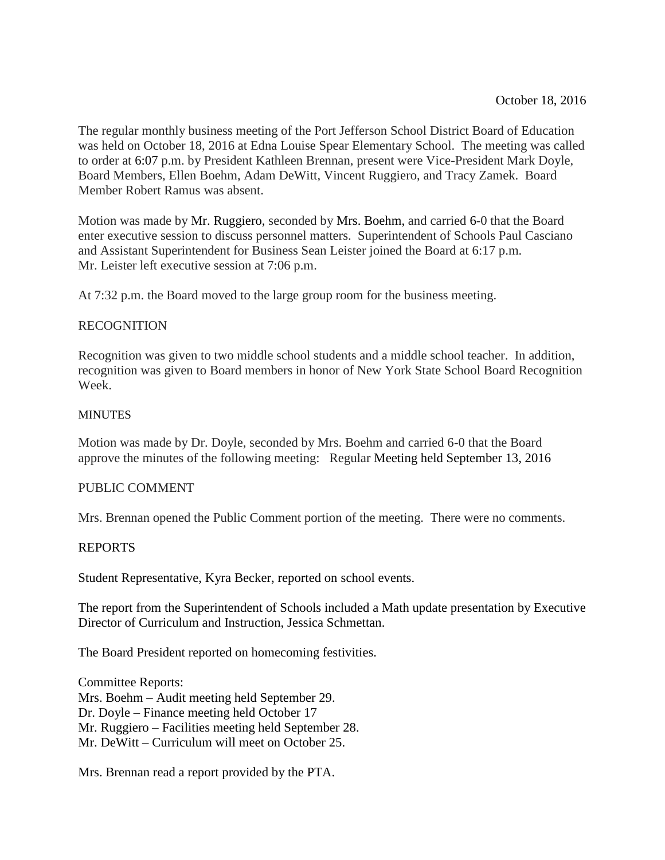The regular monthly business meeting of the Port Jefferson School District Board of Education was held on October 18, 2016 at Edna Louise Spear Elementary School. The meeting was called to order at 6:07 p.m. by President Kathleen Brennan, present were Vice-President Mark Doyle, Board Members, Ellen Boehm, Adam DeWitt, Vincent Ruggiero, and Tracy Zamek. Board Member Robert Ramus was absent.

Motion was made by Mr. Ruggiero, seconded by Mrs. Boehm, and carried 6-0 that the Board enter executive session to discuss personnel matters. Superintendent of Schools Paul Casciano and Assistant Superintendent for Business Sean Leister joined the Board at 6:17 p.m. Mr. Leister left executive session at 7:06 p.m.

At 7:32 p.m. the Board moved to the large group room for the business meeting.

## RECOGNITION

Recognition was given to two middle school students and a middle school teacher. In addition, recognition was given to Board members in honor of New York State School Board Recognition Week.

## **MINUTES**

Motion was made by Dr. Doyle, seconded by Mrs. Boehm and carried 6-0 that the Board approve the minutes of the following meeting: Regular Meeting held September 13, 2016

## PUBLIC COMMENT

Mrs. Brennan opened the Public Comment portion of the meeting. There were no comments.

## REPORTS

Student Representative, Kyra Becker, reported on school events.

The report from the Superintendent of Schools included a Math update presentation by Executive Director of Curriculum and Instruction, Jessica Schmettan.

The Board President reported on homecoming festivities.

Committee Reports: Mrs. Boehm – Audit meeting held September 29. Dr. Doyle – Finance meeting held October 17 Mr. Ruggiero – Facilities meeting held September 28. Mr. DeWitt – Curriculum will meet on October 25.

Mrs. Brennan read a report provided by the PTA.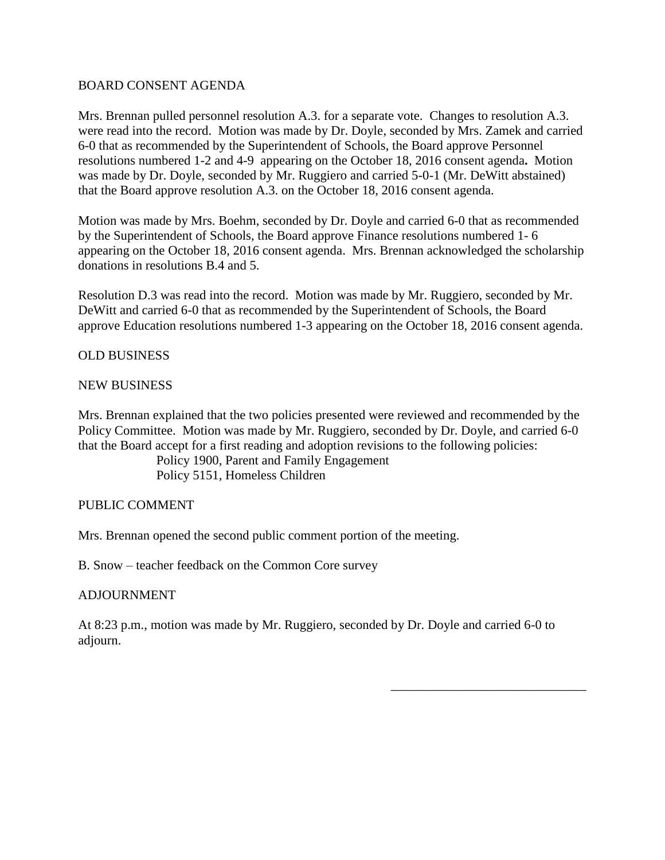## BOARD CONSENT AGENDA

Mrs. Brennan pulled personnel resolution A.3. for a separate vote. Changes to resolution A.3. were read into the record. Motion was made by Dr. Doyle, seconded by Mrs. Zamek and carried 6-0 that as recommended by the Superintendent of Schools, the Board approve Personnel resolutions numbered 1-2 and 4-9 appearing on the October 18, 2016 consent agenda**.** Motion was made by Dr. Doyle, seconded by Mr. Ruggiero and carried 5-0-1 (Mr. DeWitt abstained) that the Board approve resolution A.3. on the October 18, 2016 consent agenda.

Motion was made by Mrs. Boehm, seconded by Dr. Doyle and carried 6-0 that as recommended by the Superintendent of Schools, the Board approve Finance resolutions numbered 1- 6 appearing on the October 18, 2016 consent agenda. Mrs. Brennan acknowledged the scholarship donations in resolutions B.4 and 5.

Resolution D.3 was read into the record. Motion was made by Mr. Ruggiero, seconded by Mr. DeWitt and carried 6-0 that as recommended by the Superintendent of Schools, the Board approve Education resolutions numbered 1-3 appearing on the October 18, 2016 consent agenda.

# OLD BUSINESS

# NEW BUSINESS

Mrs. Brennan explained that the two policies presented were reviewed and recommended by the Policy Committee. Motion was made by Mr. Ruggiero, seconded by Dr. Doyle, and carried 6-0 that the Board accept for a first reading and adoption revisions to the following policies:

Policy 1900, Parent and Family Engagement Policy 5151, Homeless Children

## PUBLIC COMMENT

Mrs. Brennan opened the second public comment portion of the meeting.

B. Snow – teacher feedback on the Common Core survey

## ADJOURNMENT

At 8:23 p.m., motion was made by Mr. Ruggiero, seconded by Dr. Doyle and carried 6-0 to adjourn.

\_\_\_\_\_\_\_\_\_\_\_\_\_\_\_\_\_\_\_\_\_\_\_\_\_\_\_\_\_\_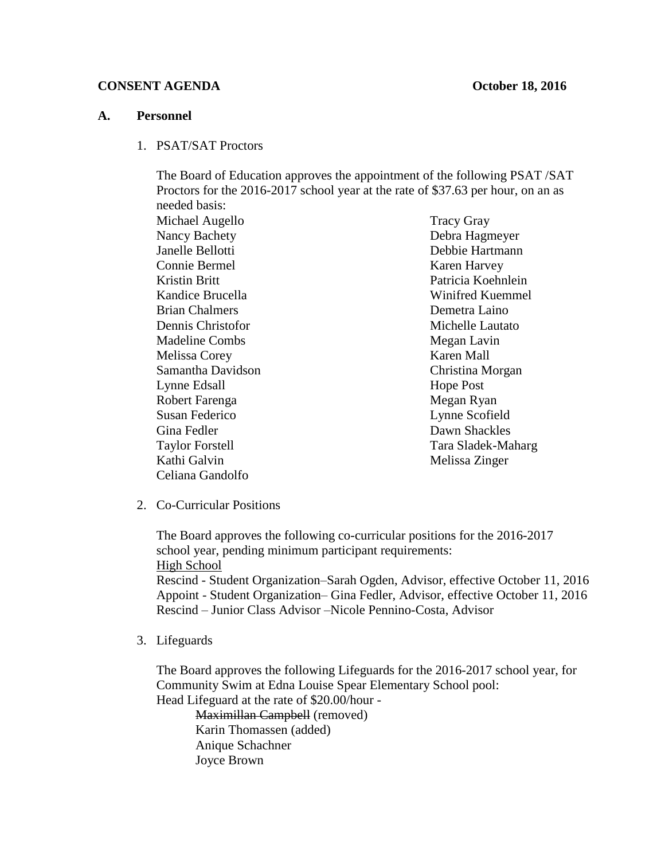#### **CONSENT AGENDA October 18, 2016**

#### **A. Personnel**

1. PSAT/SAT Proctors

The Board of Education approves the appointment of the following PSAT /SAT Proctors for the 2016-2017 school year at the rate of \$37.63 per hour, on an as needed basis:

Michael Augello Nancy Bachety Janelle Bellotti Connie Bermel Kristin Britt Kandice Brucella Brian Chalmers Dennis Christofor Madeline Combs Melissa Corey Samantha Davidson Lynne Edsall Robert Farenga Susan Federico Gina Fedler Taylor Forstell Kathi Galvin Celiana Gandolfo

Tracy Gray Debra Hagmeyer Debbie Hartmann Karen Harvey Patricia Koehnlein Winifred Kuemmel Demetra Laino Michelle Lautato Megan Lavin Karen Mall Christina Morgan Hope Post Megan Ryan Lynne Scofield Dawn Shackles Tara Sladek-Maharg Melissa Zinger

2. Co-Curricular Positions

The Board approves the following co-curricular positions for the 2016-2017 school year, pending minimum participant requirements: High School

Rescind - Student Organization–Sarah Ogden, Advisor, effective October 11, 2016 Appoint - Student Organization– Gina Fedler, Advisor, effective October 11, 2016 Rescind – Junior Class Advisor –Nicole Pennino-Costa, Advisor

3. Lifeguards

The Board approves the following Lifeguards for the 2016-2017 school year, for Community Swim at Edna Louise Spear Elementary School pool:

Head Lifeguard at the rate of \$20.00/hour - Maximillan Campbell (removed)

Karin Thomassen (added) Anique Schachner Joyce Brown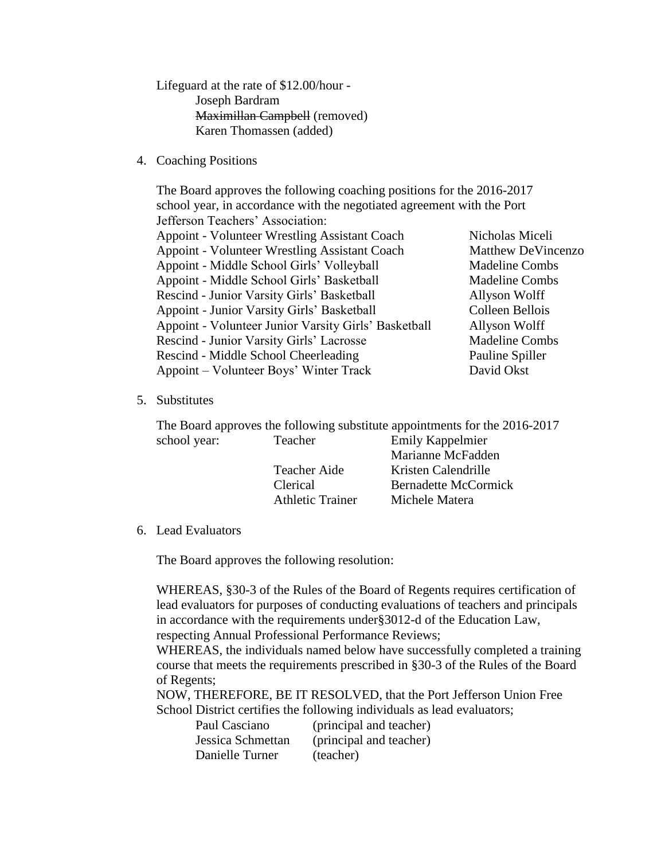Lifeguard at the rate of \$12.00/hour - Joseph Bardram Maximillan Campbell (removed) Karen Thomassen (added)

4. Coaching Positions

The Board approves the following coaching positions for the 2016-2017 school year, in accordance with the negotiated agreement with the Port Jefferson Teachers' Association: Appoint - Volunteer Wrestling Assistant Coach Nicholas Miceli Appoint - Volunteer Wrestling Assistant Coach Matthew DeVincenzo Appoint - Middle School Girls' Volleyball Madeline Combs Appoint - Middle School Girls' Basketball Madeline Combs Rescind - Junior Varsity Girls' Basketball Allyson Wolff Appoint - Junior Varsity Girls' Basketball Colleen Bellois Appoint - Volunteer Junior Varsity Girls' Basketball Allyson Wolff Rescind - Junior Varsity Girls' Lacrosse Madeline Combs Rescind - Middle School Cheerleading Pauline Spiller Appoint – Volunteer Boys' Winter Track David Okst

5. Substitutes

The Board approves the following substitute appointments for the 2016-2017 school year: Teacher Emily Kappelmier Marianne McFadden

|                         | Niarianne Nichadden  |
|-------------------------|----------------------|
| Teacher Aide            | Kristen Calendrille  |
| Clerical                | Bernadette McCormick |
| <b>Athletic Trainer</b> | Michele Matera       |

6. Lead Evaluators

The Board approves the following resolution:

WHEREAS, §30-3 of the Rules of the Board of Regents requires certification of lead evaluators for purposes of conducting evaluations of teachers and principals in accordance with the requirements under§3012-d of the Education Law, respecting Annual Professional Performance Reviews;

WHEREAS, the individuals named below have successfully completed a training course that meets the requirements prescribed in §30-3 of the Rules of the Board of Regents;

NOW, THEREFORE, BE IT RESOLVED, that the Port Jefferson Union Free School District certifies the following individuals as lead evaluators;

| Paul Casciano     | (principal and teacher) |
|-------------------|-------------------------|
| Jessica Schmettan | (principal and teacher) |
| Danielle Turner   | (teacher)               |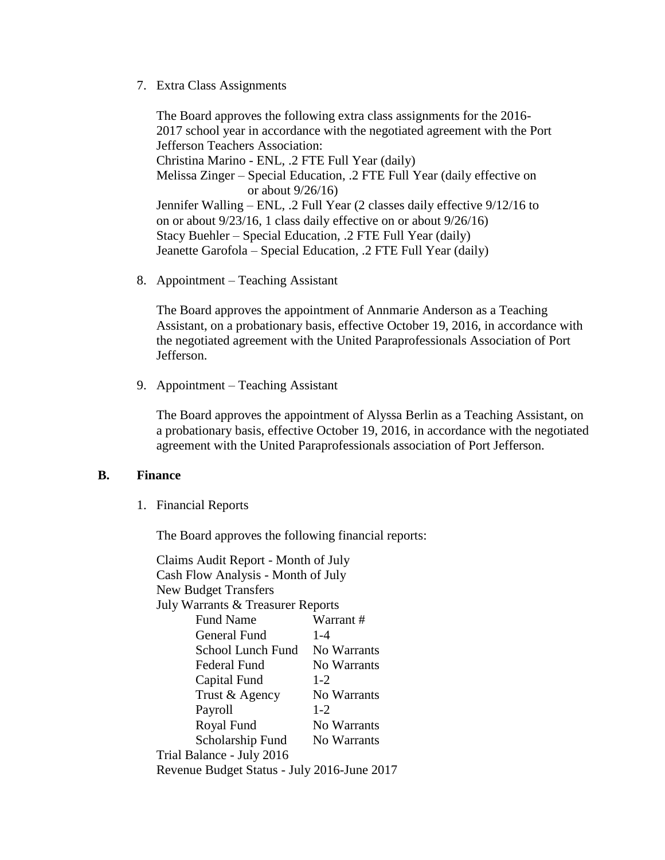7. Extra Class Assignments

The Board approves the following extra class assignments for the 2016- 2017 school year in accordance with the negotiated agreement with the Port Jefferson Teachers Association: Christina Marino - ENL, .2 FTE Full Year (daily) Melissa Zinger – Special Education, .2 FTE Full Year (daily effective on or about 9/26/16) Jennifer Walling – ENL, .2 Full Year (2 classes daily effective 9/12/16 to on or about 9/23/16, 1 class daily effective on or about 9/26/16) Stacy Buehler – Special Education, .2 FTE Full Year (daily) Jeanette Garofola – Special Education, .2 FTE Full Year (daily)

8. Appointment – Teaching Assistant

The Board approves the appointment of Annmarie Anderson as a Teaching Assistant, on a probationary basis, effective October 19, 2016, in accordance with the negotiated agreement with the United Paraprofessionals Association of Port Jefferson.

9. Appointment – Teaching Assistant

The Board approves the appointment of Alyssa Berlin as a Teaching Assistant, on a probationary basis, effective October 19, 2016, in accordance with the negotiated agreement with the United Paraprofessionals association of Port Jefferson.

## **B. Finance**

1. Financial Reports

The Board approves the following financial reports:

Claims Audit Report - Month of July Cash Flow Analysis - Month of July New Budget Transfers July Warrants & Treasurer Reports Fund Name Warrant # General Fund 1-4 School Lunch Fund No Warrants Federal Fund No Warrants Capital Fund 1-2 Trust & Agency No Warrants Payroll 1-2 Royal Fund No Warrants Scholarship Fund No Warrants Trial Balance - July 2016 Revenue Budget Status - July 2016-June 2017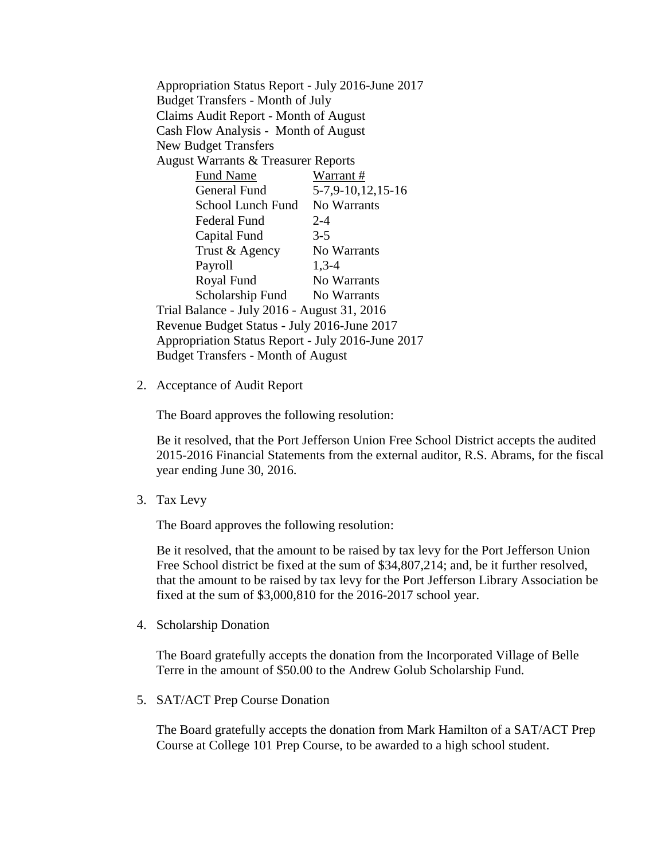Appropriation Status Report - July 2016-June 2017 Budget Transfers - Month of July Claims Audit Report - Month of August Cash Flow Analysis - Month of August New Budget Transfers August Warrants & Treasurer Reports Fund Name Warrant # General Fund 5-7,9-10,12,15-16 School Lunch Fund No Warrants Federal Fund 2-4 Capital Fund 3-5 Trust & Agency No Warrants Payroll 1,3-4 Royal Fund No Warrants Scholarship Fund No Warrants Trial Balance - July 2016 - August 31, 2016 Revenue Budget Status - July 2016-June 2017 Appropriation Status Report - July 2016-June 2017 Budget Transfers - Month of August

2. Acceptance of Audit Report

The Board approves the following resolution:

Be it resolved, that the Port Jefferson Union Free School District accepts the audited 2015-2016 Financial Statements from the external auditor, R.S. Abrams, for the fiscal year ending June 30, 2016.

3. Tax Levy

The Board approves the following resolution:

Be it resolved, that the amount to be raised by tax levy for the Port Jefferson Union Free School district be fixed at the sum of \$34,807,214; and, be it further resolved, that the amount to be raised by tax levy for the Port Jefferson Library Association be fixed at the sum of \$3,000,810 for the 2016-2017 school year.

4. Scholarship Donation

The Board gratefully accepts the donation from the Incorporated Village of Belle Terre in the amount of \$50.00 to the Andrew Golub Scholarship Fund.

5. SAT/ACT Prep Course Donation

The Board gratefully accepts the donation from Mark Hamilton of a SAT/ACT Prep Course at College 101 Prep Course, to be awarded to a high school student.